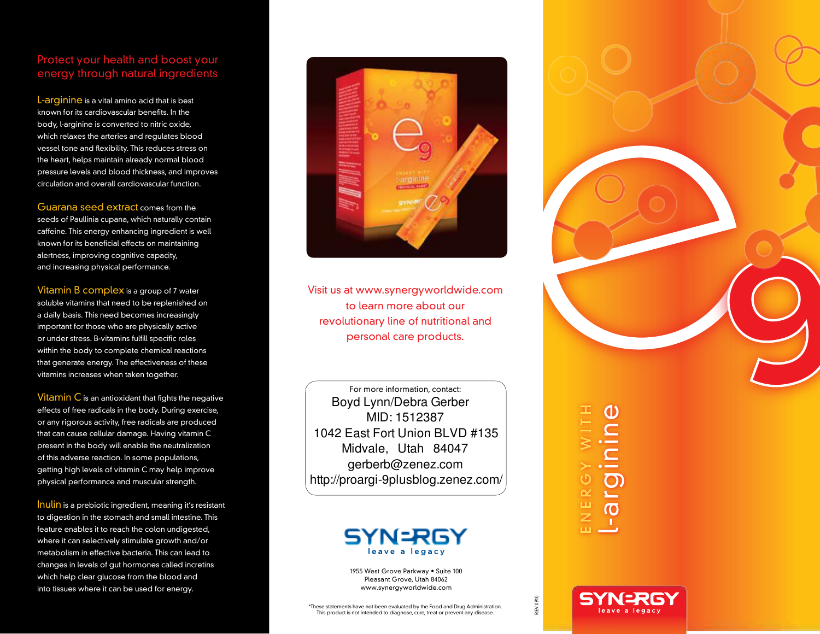## Protect your health and boost your energy through natural ingredients

L-arginine is a vital amino acid that is best known for its cardiovascular benefits. In the body, l-arginine is converted to nitric oxide, which relaxes the arteries and regulates blood vessel tone and flexibility. This reduces stress on the heart, helps maintain already normal blood pressure levels and blood thickness, and improves circulation and overall cardiovascular function.

Guarana seed extract comes from the seeds of Paullinia cupana, which naturally contain caffeine. This energy enhancing ingredient is well known for its beneficial effects on maintaining alertness, improving cognitive capacity, and increasing physical performance.

Vitamin B complex is a group of 7 water soluble vitamins that need to be replenished on a daily basis. This need becomes increasingly important for those who are physically active or under stress. B-vitamins fulfill specific roles within the body to complete chemical reactions that generate energy. The effectiveness of these vitamins increases when taken together.

Vitamin  $C$  is an antioxidant that fights the negative effects of free radicals in the body. During exercise, or any rigorous activity, free radicals are produced that can cause cellular damage. Having vitamin C present in the body will enable the neutralization of this adverse reaction. In some populations, getting high levels of vitamin C may help improve physical performance and muscular strength.

Inulin is a prebiotic ingredient, meaning it's resistant to digestion in the stomach and small intestine. This feature enables it to reach the colon undigested, where it can selectively stimulate growth and/or metabolism in effective bacteria. This can lead to changes in levels of gut hormones called incretins which help clear glucose from the blood and into tissues where it can be used for energy.



Visit us at www.synergyworldwide.com to learn more about our revolutionary line of nutritional and personal care products.

For more information, contact: Boyd Lynn/Debra Gerber MID: 1512387 1042 East Fort Union BLVD #135 Midvale, Utah 84047 gerberb@zenez.com http://proargi-9plusblog.zenez.com/



1955 West Grove Parkway • Suite 100 Pleasant Grove, Utah 84062 www.synergyworldwide.com

## EZ E  $\boldsymbol{\alpha}$  $\mathbf \Theta$  $\succ$  $\bm{\varepsilon}$ |<br>|<br>|<br>|  $\overline{\phantom{a}}$  $\mathbf \Omega$ r ginin  $\boldsymbol{\omega}$

**SYNERG** 

H

REV 0910